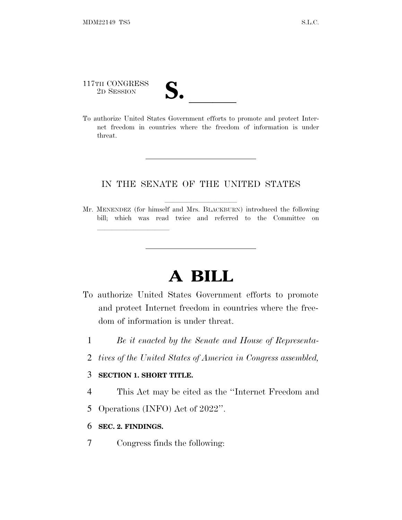# 117TH CONGRESS 117TH CONGRESS<br>
2D SESSION<br>
To authorize United States Government efforts to promote and protect Inter-

lland and a state of the state of the state of the state of the state of the state of the state of the state o

net freedom in countries where the freedom of information is under threat.

### IN THE SENATE OF THE UNITED STATES

Mr. MENENDEZ (for himself and Mrs. BLACKBURN) introduced the following bill; which was read twice and referred to the Committee on

## **A BILL**

- To authorize United States Government efforts to promote and protect Internet freedom in countries where the freedom of information is under threat.
	- 1 *Be it enacted by the Senate and House of Representa-*
	- 2 *tives of the United States of America in Congress assembled,*

#### 3 **SECTION 1. SHORT TITLE.**

- 4 This Act may be cited as the ''Internet Freedom and
- 5 Operations (INFO) Act of 2022''.
- 6 **SEC. 2. FINDINGS.**
- 7 Congress finds the following: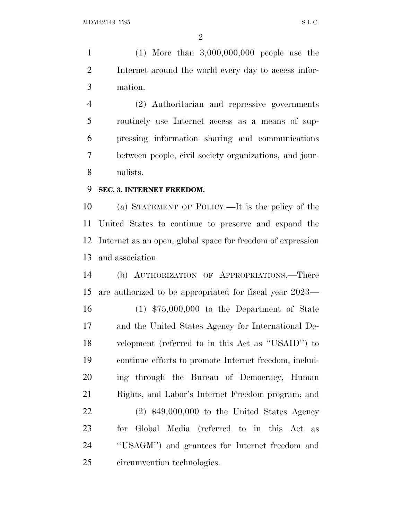(1) More than 3,000,000,000 people use the Internet around the world every day to access infor-mation.

 (2) Authoritarian and repressive governments routinely use Internet access as a means of sup- pressing information sharing and communications between people, civil society organizations, and jour-nalists.

### **SEC. 3. INTERNET FREEDOM.**

 (a) STATEMENT OF POLICY.—It is the policy of the United States to continue to preserve and expand the Internet as an open, global space for freedom of expression and association.

 (b) AUTHORIZATION OF APPROPRIATIONS.—There are authorized to be appropriated for fiscal year 2023—

 (1) \$75,000,000 to the Department of State and the United States Agency for International De- velopment (referred to in this Act as ''USAID'') to continue efforts to promote Internet freedom, includ- ing through the Bureau of Democracy, Human Rights, and Labor's Internet Freedom program; and

 (2) \$49,000,000 to the United States Agency for Global Media (referred to in this Act as ''USAGM'') and grantees for Internet freedom and circumvention technologies.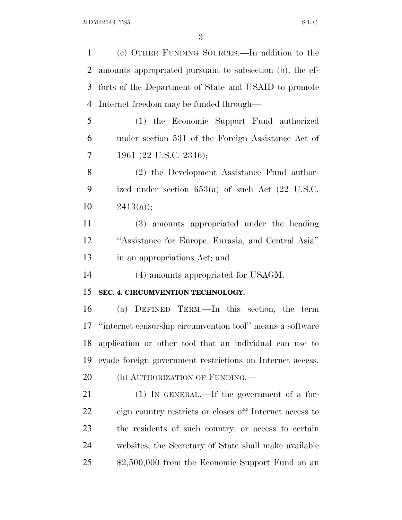(c) OTHER FUNDING SOURCES.—In addition to the amounts appropriated pursuant to subsection (b), the ef- forts of the Department of State and USAID to promote Internet freedom may be funded through— (1) the Economic Support Fund authorized under section 531 of the Foreign Assistance Act of 1961 (22 U.S.C. 2346); (2) the Development Assistance Fund author- ized under section 653(a) of such Act (22 U.S.C. 10  $2413(a)$ ; (3) amounts appropriated under the heading ''Assistance for Europe, Eurasia, and Central Asia'' in an appropriations Act; and 14 (4) amounts appropriated for USAGM. **SEC. 4. CIRCUMVENTION TECHNOLOGY.** (a) DEFINED TERM.—In this section, the term ''internet censorship circumvention tool'' means a software application or other tool that an individual can use to evade foreign government restrictions on Internet access. 20 (b) AUTHORIZATION OF FUNDING.— 21 (1) IN GENERAL.—If the government of a for- eign country restricts or closes off Internet access to the residents of such country, or access to certain websites, the Secretary of State shall make available \$2,500,000 from the Economic Support Fund on an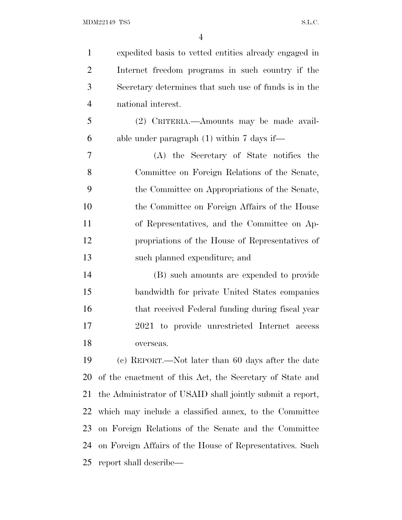| $\mathbf{1}$   | expedited basis to vetted entities already engaged in     |
|----------------|-----------------------------------------------------------|
| $\overline{2}$ | Internet freedom programs in such country if the          |
| 3              | Secretary determines that such use of funds is in the     |
| $\overline{4}$ | national interest.                                        |
| $\mathfrak{S}$ | (2) CRITERIA.—Amounts may be made avail-                  |
| 6              | able under paragraph $(1)$ within 7 days if—              |
| 7              | (A) the Secretary of State notifies the                   |
| 8              | Committee on Foreign Relations of the Senate,             |
| 9              | the Committee on Appropriations of the Senate,            |
| 10             | the Committee on Foreign Affairs of the House             |
| 11             | of Representatives, and the Committee on Ap-              |
| 12             | propriations of the House of Representatives of           |
| 13             | such planned expenditure; and                             |
| 14             | (B) such amounts are expended to provide                  |
| 15             | bandwidth for private United States companies             |
| 16             | that received Federal funding during fiscal year          |
| 17             | 2021 to provide unrestricted Internet access              |
| 18             | overseas.                                                 |
| 19             | (c) REPORT.—Not later than 60 days after the date         |
| 20             | of the enactment of this Act, the Secretary of State and  |
| 21             | the Administrator of USAID shall jointly submit a report, |
| 22             | which may include a classified annex, to the Committee    |
| 23             | on Foreign Relations of the Senate and the Committee      |
| 24             | on Foreign Affairs of the House of Representatives. Such  |
| 25             | report shall describe—                                    |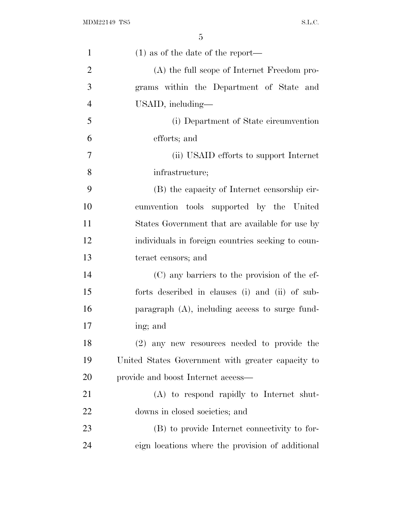| $\mathbf{1}$   | $(1)$ as of the date of the report—               |
|----------------|---------------------------------------------------|
| $\overline{2}$ | (A) the full scope of Internet Freedom pro-       |
| 3              | grams within the Department of State and          |
| $\overline{4}$ | USAID, including—                                 |
| 5              | (i) Department of State circumvention             |
| 6              | efforts; and                                      |
| 7              | (ii) USAID efforts to support Internet            |
| 8              | infrastructure;                                   |
| 9              | (B) the capacity of Internet censorship cir-      |
| 10             | cumvention tools supported by the United          |
| 11             | States Government that are available for use by   |
| 12             | individuals in foreign countries seeking to coun- |
| 13             | teract censors; and                               |
| 14             | (C) any barriers to the provision of the ef-      |
| 15             | forts described in clauses (i) and (ii) of sub-   |
| 16             | paragraph $(A)$ , including access to surge fund- |
| 17             | ing; and                                          |
| 18             | $(2)$ any new resources needed to provide the     |
| 19             | United States Government with greater capacity to |
| 20             | provide and boost Internet access—                |
| 21             | (A) to respond rapidly to Internet shut-          |
| 22             | downs in closed societies; and                    |
| 23             | (B) to provide Internet connectivity to for-      |
| 24             | eign locations where the provision of additional  |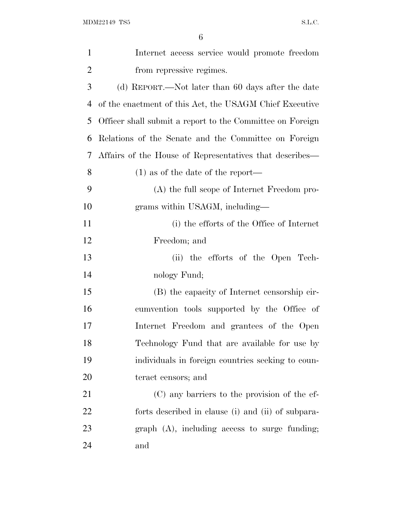| $\mathbf{1}$   | Internet access service would promote freedom             |
|----------------|-----------------------------------------------------------|
| $\overline{2}$ | from repressive regimes.                                  |
| 3              | (d) REPORT.—Not later than 60 days after the date         |
| 4              | of the enactment of this Act, the USAGM Chief Executive   |
| 5              | Officer shall submit a report to the Committee on Foreign |
| 6              | Relations of the Senate and the Committee on Foreign      |
| 7              | Affairs of the House of Representatives that describes—   |
| 8              | $(1)$ as of the date of the report—                       |
| 9              | (A) the full scope of Internet Freedom pro-               |
| 10             | grams within USAGM, including-                            |
| 11             | (i) the efforts of the Office of Internet                 |
| 12             | Freedom; and                                              |
| 13             | (ii) the efforts of the Open Tech-                        |
| 14             | nology Fund;                                              |
| 15             | (B) the capacity of Internet censorship cir-              |
| 16             | cumvention tools supported by the Office of               |
| 17             | Internet Freedom and grantees of the Open                 |
| 18             | Technology Fund that are available for use by             |
| 19             | individuals in foreign countries seeking to coun-         |
| 20             | teract censors; and                                       |
| 21             | (C) any barriers to the provision of the ef-              |
| 22             | forts described in clause (i) and (ii) of subpara-        |
| 23             | $graph$ $(A)$ , including access to surge funding;        |
| 24             | and                                                       |